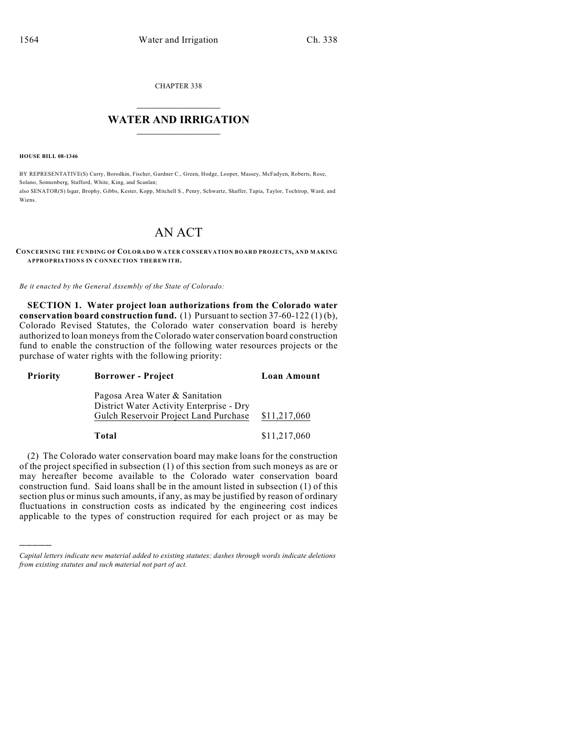CHAPTER 338

## $\mathcal{L}_\text{max}$  . The set of the set of the set of the set of the set of the set of the set of the set of the set of the set of the set of the set of the set of the set of the set of the set of the set of the set of the set **WATER AND IRRIGATION**  $\_$   $\_$

**HOUSE BILL 08-1346**

)))))

BY REPRESENTATIVE(S) Curry, Borodkin, Fischer, Gardner C., Green, Hodge, Looper, Massey, McFadyen, Roberts, Rose, Solano, Sonnenberg, Stafford, White, King, and Scanlan; also SENATOR(S) Isgar, Brophy, Gibbs, Kester, Kopp, Mitchell S., Penry, Schwartz, Shaffer, Tapia, Taylor, Tochtrop, Ward, and Wiens.

# AN ACT

#### **CONCERNING THE FUNDING OF COLORADO WATER CONSERVATION BOARD PROJECTS, AND MAKING APPROPRIATIONS IN CONNECTION THEREWITH.**

*Be it enacted by the General Assembly of the State of Colorado:*

**SECTION 1. Water project loan authorizations from the Colorado water conservation board construction fund.** (1) Pursuant to section 37-60-122 (1) (b), Colorado Revised Statutes, the Colorado water conservation board is hereby authorized to loan moneys from the Colorado water conservation board construction fund to enable the construction of the following water resources projects or the purchase of water rights with the following priority:

| <b>Priority</b> | <b>Borrower</b> - Project                                                                                           | Loan Amount  |
|-----------------|---------------------------------------------------------------------------------------------------------------------|--------------|
|                 | Pagosa Area Water & Sanitation<br>District Water Activity Enterprise - Dry<br>Gulch Reservoir Project Land Purchase | \$11,217,060 |
|                 | Total                                                                                                               | \$11,217,060 |

(2) The Colorado water conservation board may make loans for the construction of the project specified in subsection (1) of this section from such moneys as are or may hereafter become available to the Colorado water conservation board construction fund. Said loans shall be in the amount listed in subsection (1) of this section plus or minus such amounts, if any, as may be justified by reason of ordinary fluctuations in construction costs as indicated by the engineering cost indices applicable to the types of construction required for each project or as may be

*Capital letters indicate new material added to existing statutes; dashes through words indicate deletions from existing statutes and such material not part of act.*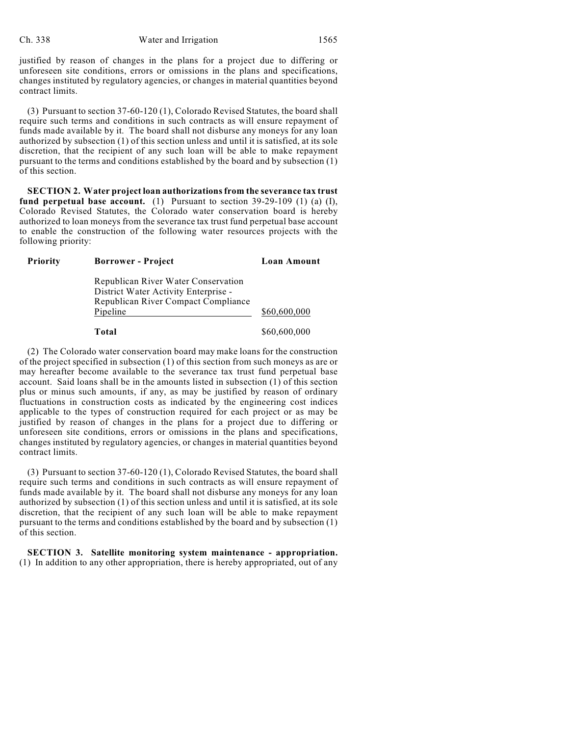justified by reason of changes in the plans for a project due to differing or unforeseen site conditions, errors or omissions in the plans and specifications, changes instituted by regulatory agencies, or changes in material quantities beyond contract limits.

(3) Pursuant to section 37-60-120 (1), Colorado Revised Statutes, the board shall require such terms and conditions in such contracts as will ensure repayment of funds made available by it. The board shall not disburse any moneys for any loan authorized by subsection (1) of this section unless and until it is satisfied, at its sole discretion, that the recipient of any such loan will be able to make repayment pursuant to the terms and conditions established by the board and by subsection (1) of this section.

**SECTION 2. Water project loan authorizations from the severance tax trust fund perpetual base account.** (1) Pursuant to section 39-29-109 (1) (a) (I), Colorado Revised Statutes, the Colorado water conservation board is hereby authorized to loan moneys from the severance tax trust fund perpetual base account to enable the construction of the following water resources projects with the following priority:

| <b>Priority</b> | <b>Borrower</b> - Project                                                   | <b>Loan Amount</b> |
|-----------------|-----------------------------------------------------------------------------|--------------------|
|                 | Republican River Water Conservation<br>District Water Activity Enterprise - |                    |
|                 | Republican River Compact Compliance                                         |                    |
|                 | Pipeline                                                                    | \$60,600,000       |
|                 | Total                                                                       | \$60,600,000       |

(2) The Colorado water conservation board may make loans for the construction of the project specified in subsection (1) of this section from such moneys as are or may hereafter become available to the severance tax trust fund perpetual base account. Said loans shall be in the amounts listed in subsection (1) of this section plus or minus such amounts, if any, as may be justified by reason of ordinary fluctuations in construction costs as indicated by the engineering cost indices applicable to the types of construction required for each project or as may be justified by reason of changes in the plans for a project due to differing or unforeseen site conditions, errors or omissions in the plans and specifications, changes instituted by regulatory agencies, or changes in material quantities beyond contract limits.

(3) Pursuant to section 37-60-120 (1), Colorado Revised Statutes, the board shall require such terms and conditions in such contracts as will ensure repayment of funds made available by it. The board shall not disburse any moneys for any loan authorized by subsection (1) of this section unless and until it is satisfied, at its sole discretion, that the recipient of any such loan will be able to make repayment pursuant to the terms and conditions established by the board and by subsection (1) of this section.

**SECTION 3. Satellite monitoring system maintenance - appropriation.** (1) In addition to any other appropriation, there is hereby appropriated, out of any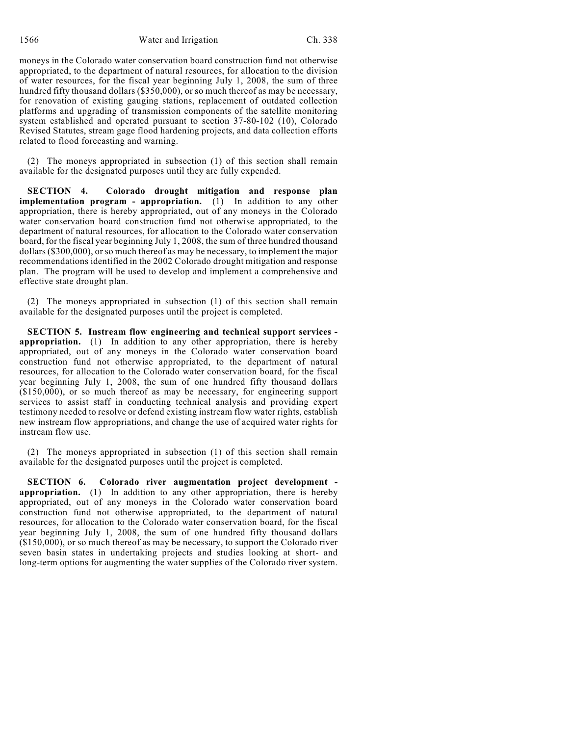moneys in the Colorado water conservation board construction fund not otherwise appropriated, to the department of natural resources, for allocation to the division of water resources, for the fiscal year beginning July 1, 2008, the sum of three hundred fifty thousand dollars (\$350,000), or so much thereof as may be necessary, for renovation of existing gauging stations, replacement of outdated collection platforms and upgrading of transmission components of the satellite monitoring system established and operated pursuant to section 37-80-102 (10), Colorado Revised Statutes, stream gage flood hardening projects, and data collection efforts related to flood forecasting and warning.

(2) The moneys appropriated in subsection (1) of this section shall remain available for the designated purposes until they are fully expended.

**SECTION 4. Colorado drought mitigation and response plan implementation program - appropriation.** (1) In addition to any other appropriation, there is hereby appropriated, out of any moneys in the Colorado water conservation board construction fund not otherwise appropriated, to the department of natural resources, for allocation to the Colorado water conservation board, for the fiscal year beginning July 1, 2008, the sum of three hundred thousand dollars (\$300,000), or so much thereof as may be necessary, to implement the major recommendations identified in the 2002 Colorado drought mitigation and response plan. The program will be used to develop and implement a comprehensive and effective state drought plan.

(2) The moneys appropriated in subsection (1) of this section shall remain available for the designated purposes until the project is completed.

**SECTION 5. Instream flow engineering and technical support services appropriation.** (1) In addition to any other appropriation, there is hereby appropriated, out of any moneys in the Colorado water conservation board construction fund not otherwise appropriated, to the department of natural resources, for allocation to the Colorado water conservation board, for the fiscal year beginning July 1, 2008, the sum of one hundred fifty thousand dollars (\$150,000), or so much thereof as may be necessary, for engineering support services to assist staff in conducting technical analysis and providing expert testimony needed to resolve or defend existing instream flow water rights, establish new instream flow appropriations, and change the use of acquired water rights for instream flow use.

(2) The moneys appropriated in subsection (1) of this section shall remain available for the designated purposes until the project is completed.

**SECTION 6. Colorado river augmentation project development appropriation.** (1) In addition to any other appropriation, there is hereby appropriated, out of any moneys in the Colorado water conservation board construction fund not otherwise appropriated, to the department of natural resources, for allocation to the Colorado water conservation board, for the fiscal year beginning July 1, 2008, the sum of one hundred fifty thousand dollars (\$150,000), or so much thereof as may be necessary, to support the Colorado river seven basin states in undertaking projects and studies looking at short- and long-term options for augmenting the water supplies of the Colorado river system.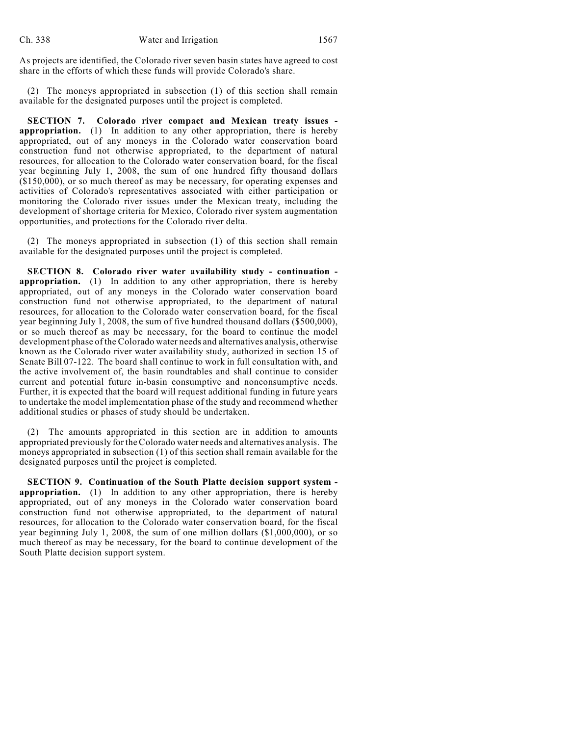As projects are identified, the Colorado river seven basin states have agreed to cost share in the efforts of which these funds will provide Colorado's share.

(2) The moneys appropriated in subsection (1) of this section shall remain available for the designated purposes until the project is completed.

**SECTION 7. Colorado river compact and Mexican treaty issues appropriation.** (1) In addition to any other appropriation, there is hereby appropriated, out of any moneys in the Colorado water conservation board construction fund not otherwise appropriated, to the department of natural resources, for allocation to the Colorado water conservation board, for the fiscal year beginning July 1, 2008, the sum of one hundred fifty thousand dollars (\$150,000), or so much thereof as may be necessary, for operating expenses and activities of Colorado's representatives associated with either participation or monitoring the Colorado river issues under the Mexican treaty, including the development of shortage criteria for Mexico, Colorado river system augmentation opportunities, and protections for the Colorado river delta.

(2) The moneys appropriated in subsection (1) of this section shall remain available for the designated purposes until the project is completed.

**SECTION 8. Colorado river water availability study - continuation appropriation.** (1) In addition to any other appropriation, there is hereby appropriated, out of any moneys in the Colorado water conservation board construction fund not otherwise appropriated, to the department of natural resources, for allocation to the Colorado water conservation board, for the fiscal year beginning July 1, 2008, the sum of five hundred thousand dollars (\$500,000), or so much thereof as may be necessary, for the board to continue the model development phase of the Colorado water needs and alternatives analysis, otherwise known as the Colorado river water availability study, authorized in section 15 of Senate Bill 07-122. The board shall continue to work in full consultation with, and the active involvement of, the basin roundtables and shall continue to consider current and potential future in-basin consumptive and nonconsumptive needs. Further, it is expected that the board will request additional funding in future years to undertake the model implementation phase of the study and recommend whether additional studies or phases of study should be undertaken.

(2) The amounts appropriated in this section are in addition to amounts appropriated previously for the Colorado water needs and alternatives analysis. The moneys appropriated in subsection (1) of this section shall remain available for the designated purposes until the project is completed.

**SECTION 9. Continuation of the South Platte decision support system appropriation.** (1) In addition to any other appropriation, there is hereby appropriated, out of any moneys in the Colorado water conservation board construction fund not otherwise appropriated, to the department of natural resources, for allocation to the Colorado water conservation board, for the fiscal year beginning July 1, 2008, the sum of one million dollars (\$1,000,000), or so much thereof as may be necessary, for the board to continue development of the South Platte decision support system.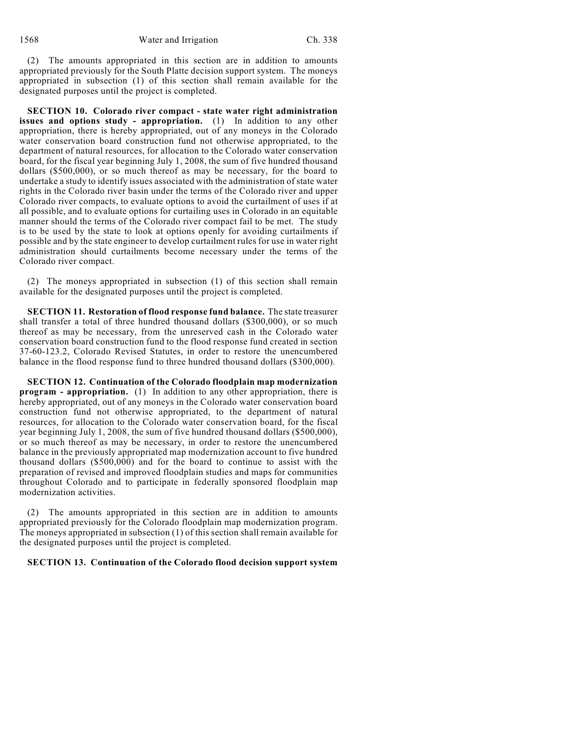(2) The amounts appropriated in this section are in addition to amounts appropriated previously for the South Platte decision support system. The moneys appropriated in subsection (1) of this section shall remain available for the designated purposes until the project is completed.

**SECTION 10. Colorado river compact - state water right administration issues and options study - appropriation.** (1) In addition to any other appropriation, there is hereby appropriated, out of any moneys in the Colorado water conservation board construction fund not otherwise appropriated, to the department of natural resources, for allocation to the Colorado water conservation board, for the fiscal year beginning July 1, 2008, the sum of five hundred thousand dollars (\$500,000), or so much thereof as may be necessary, for the board to undertake a study to identify issues associated with the administration of state water rights in the Colorado river basin under the terms of the Colorado river and upper Colorado river compacts, to evaluate options to avoid the curtailment of uses if at all possible, and to evaluate options for curtailing uses in Colorado in an equitable manner should the terms of the Colorado river compact fail to be met. The study is to be used by the state to look at options openly for avoiding curtailments if possible and by the state engineer to develop curtailment rules for use in water right administration should curtailments become necessary under the terms of the Colorado river compact.

(2) The moneys appropriated in subsection (1) of this section shall remain available for the designated purposes until the project is completed.

**SECTION 11. Restoration of flood response fund balance.** The state treasurer shall transfer a total of three hundred thousand dollars (\$300,000), or so much thereof as may be necessary, from the unreserved cash in the Colorado water conservation board construction fund to the flood response fund created in section 37-60-123.2, Colorado Revised Statutes, in order to restore the unencumbered balance in the flood response fund to three hundred thousand dollars (\$300,000).

**SECTION 12. Continuation of the Colorado floodplain map modernization program - appropriation.** (1) In addition to any other appropriation, there is hereby appropriated, out of any moneys in the Colorado water conservation board construction fund not otherwise appropriated, to the department of natural resources, for allocation to the Colorado water conservation board, for the fiscal year beginning July 1, 2008, the sum of five hundred thousand dollars (\$500,000), or so much thereof as may be necessary, in order to restore the unencumbered balance in the previously appropriated map modernization account to five hundred thousand dollars  $(\$500,000)$  and for the board to continue to assist with the preparation of revised and improved floodplain studies and maps for communities throughout Colorado and to participate in federally sponsored floodplain map modernization activities.

(2) The amounts appropriated in this section are in addition to amounts appropriated previously for the Colorado floodplain map modernization program. The moneys appropriated in subsection (1) of this section shall remain available for the designated purposes until the project is completed.

## **SECTION 13. Continuation of the Colorado flood decision support system**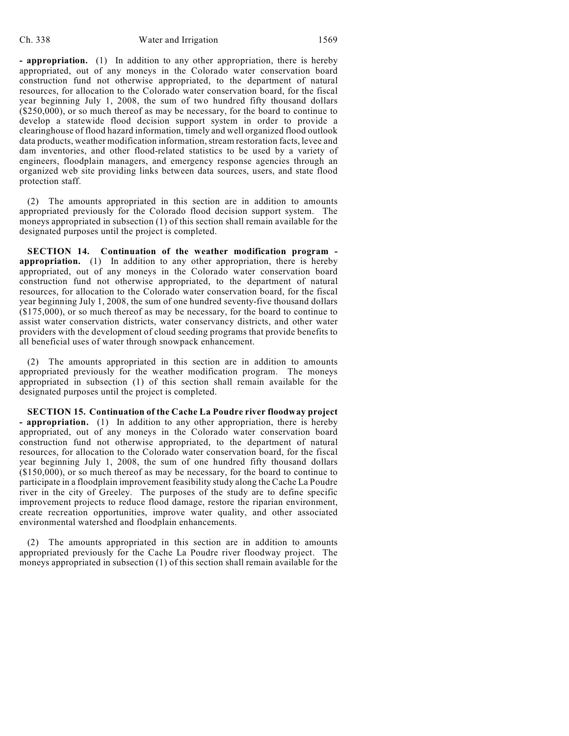**- appropriation.** (1) In addition to any other appropriation, there is hereby appropriated, out of any moneys in the Colorado water conservation board construction fund not otherwise appropriated, to the department of natural resources, for allocation to the Colorado water conservation board, for the fiscal year beginning July 1, 2008, the sum of two hundred fifty thousand dollars (\$250,000), or so much thereof as may be necessary, for the board to continue to develop a statewide flood decision support system in order to provide a clearinghouse of flood hazard information, timely and well organized flood outlook data products, weather modification information, stream restoration facts, levee and dam inventories, and other flood-related statistics to be used by a variety of engineers, floodplain managers, and emergency response agencies through an organized web site providing links between data sources, users, and state flood protection staff.

(2) The amounts appropriated in this section are in addition to amounts appropriated previously for the Colorado flood decision support system. The moneys appropriated in subsection (1) of this section shall remain available for the designated purposes until the project is completed.

**SECTION 14. Continuation of the weather modification program appropriation.** (1) In addition to any other appropriation, there is hereby appropriated, out of any moneys in the Colorado water conservation board construction fund not otherwise appropriated, to the department of natural resources, for allocation to the Colorado water conservation board, for the fiscal year beginning July 1, 2008, the sum of one hundred seventy-five thousand dollars (\$175,000), or so much thereof as may be necessary, for the board to continue to assist water conservation districts, water conservancy districts, and other water providers with the development of cloud seeding programs that provide benefits to all beneficial uses of water through snowpack enhancement.

(2) The amounts appropriated in this section are in addition to amounts appropriated previously for the weather modification program. The moneys appropriated in subsection (1) of this section shall remain available for the designated purposes until the project is completed.

**SECTION 15. Continuation of the Cache La Poudre river floodway project - appropriation.** (1) In addition to any other appropriation, there is hereby appropriated, out of any moneys in the Colorado water conservation board construction fund not otherwise appropriated, to the department of natural resources, for allocation to the Colorado water conservation board, for the fiscal year beginning July 1, 2008, the sum of one hundred fifty thousand dollars (\$150,000), or so much thereof as may be necessary, for the board to continue to participate in a floodplain improvement feasibility study along the Cache La Poudre river in the city of Greeley. The purposes of the study are to define specific improvement projects to reduce flood damage, restore the riparian environment, create recreation opportunities, improve water quality, and other associated environmental watershed and floodplain enhancements.

(2) The amounts appropriated in this section are in addition to amounts appropriated previously for the Cache La Poudre river floodway project. The moneys appropriated in subsection (1) of this section shall remain available for the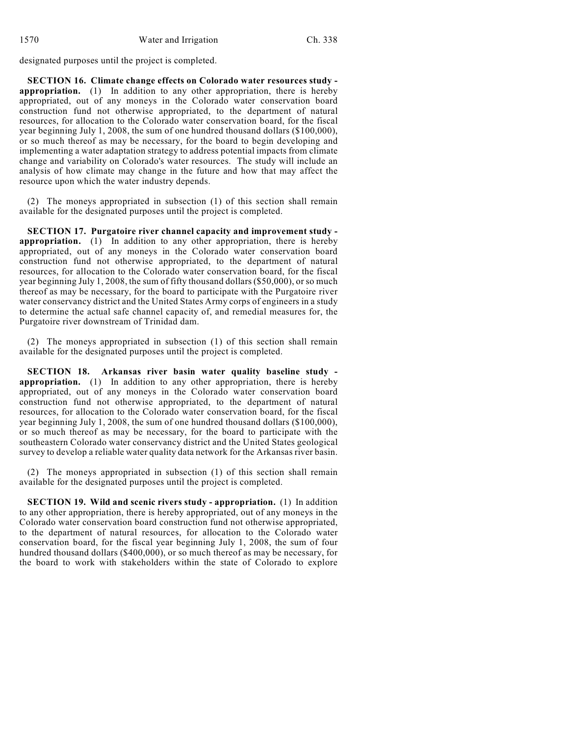designated purposes until the project is completed.

**SECTION 16. Climate change effects on Colorado water resources study appropriation.** (1) In addition to any other appropriation, there is hereby appropriated, out of any moneys in the Colorado water conservation board construction fund not otherwise appropriated, to the department of natural resources, for allocation to the Colorado water conservation board, for the fiscal year beginning July 1, 2008, the sum of one hundred thousand dollars (\$100,000), or so much thereof as may be necessary, for the board to begin developing and implementing a water adaptation strategy to address potential impacts from climate change and variability on Colorado's water resources. The study will include an analysis of how climate may change in the future and how that may affect the resource upon which the water industry depends.

(2) The moneys appropriated in subsection (1) of this section shall remain available for the designated purposes until the project is completed.

**SECTION 17. Purgatoire river channel capacity and improvement study appropriation.** (1) In addition to any other appropriation, there is hereby appropriated, out of any moneys in the Colorado water conservation board construction fund not otherwise appropriated, to the department of natural resources, for allocation to the Colorado water conservation board, for the fiscal year beginning July 1, 2008, the sum of fifty thousand dollars (\$50,000), or so much thereof as may be necessary, for the board to participate with the Purgatoire river water conservancy district and the United States Army corps of engineers in a study to determine the actual safe channel capacity of, and remedial measures for, the Purgatoire river downstream of Trinidad dam.

(2) The moneys appropriated in subsection (1) of this section shall remain available for the designated purposes until the project is completed.

**SECTION 18. Arkansas river basin water quality baseline study appropriation.** (1) In addition to any other appropriation, there is hereby appropriated, out of any moneys in the Colorado water conservation board construction fund not otherwise appropriated, to the department of natural resources, for allocation to the Colorado water conservation board, for the fiscal year beginning July 1, 2008, the sum of one hundred thousand dollars (\$100,000), or so much thereof as may be necessary, for the board to participate with the southeastern Colorado water conservancy district and the United States geological survey to develop a reliable water quality data network for the Arkansas river basin.

(2) The moneys appropriated in subsection (1) of this section shall remain available for the designated purposes until the project is completed.

**SECTION 19. Wild and scenic rivers study - appropriation.** (1) In addition to any other appropriation, there is hereby appropriated, out of any moneys in the Colorado water conservation board construction fund not otherwise appropriated, to the department of natural resources, for allocation to the Colorado water conservation board, for the fiscal year beginning July 1, 2008, the sum of four hundred thousand dollars (\$400,000), or so much thereof as may be necessary, for the board to work with stakeholders within the state of Colorado to explore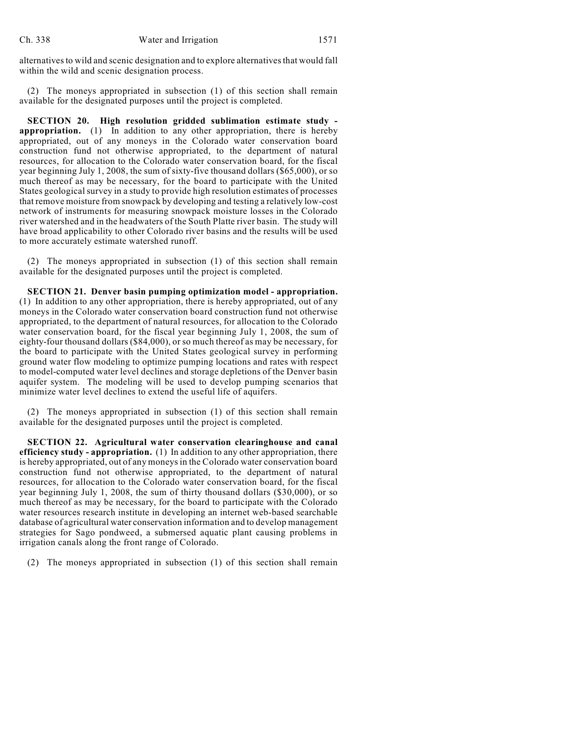alternatives to wild and scenic designation and to explore alternatives that would fall within the wild and scenic designation process.

(2) The moneys appropriated in subsection (1) of this section shall remain available for the designated purposes until the project is completed.

**SECTION 20. High resolution gridded sublimation estimate study appropriation.** (1) In addition to any other appropriation, there is hereby appropriated, out of any moneys in the Colorado water conservation board construction fund not otherwise appropriated, to the department of natural resources, for allocation to the Colorado water conservation board, for the fiscal year beginning July 1, 2008, the sum of sixty-five thousand dollars (\$65,000), or so much thereof as may be necessary, for the board to participate with the United States geological survey in a study to provide high resolution estimates of processes that remove moisture from snowpack by developing and testing a relatively low-cost network of instruments for measuring snowpack moisture losses in the Colorado river watershed and in the headwaters of the South Platte river basin. The study will have broad applicability to other Colorado river basins and the results will be used to more accurately estimate watershed runoff.

(2) The moneys appropriated in subsection (1) of this section shall remain available for the designated purposes until the project is completed.

**SECTION 21. Denver basin pumping optimization model - appropriation.** (1) In addition to any other appropriation, there is hereby appropriated, out of any moneys in the Colorado water conservation board construction fund not otherwise appropriated, to the department of natural resources, for allocation to the Colorado water conservation board, for the fiscal year beginning July 1, 2008, the sum of eighty-four thousand dollars (\$84,000), or so much thereof as may be necessary, for the board to participate with the United States geological survey in performing ground water flow modeling to optimize pumping locations and rates with respect to model-computed water level declines and storage depletions of the Denver basin aquifer system. The modeling will be used to develop pumping scenarios that minimize water level declines to extend the useful life of aquifers.

(2) The moneys appropriated in subsection (1) of this section shall remain available for the designated purposes until the project is completed.

**SECTION 22. Agricultural water conservation clearinghouse and canal efficiency study - appropriation.** (1) In addition to any other appropriation, there is hereby appropriated, out of any moneys in the Colorado water conservation board construction fund not otherwise appropriated, to the department of natural resources, for allocation to the Colorado water conservation board, for the fiscal year beginning July 1, 2008, the sum of thirty thousand dollars (\$30,000), or so much thereof as may be necessary, for the board to participate with the Colorado water resources research institute in developing an internet web-based searchable database of agricultural water conservation information and to develop management strategies for Sago pondweed, a submersed aquatic plant causing problems in irrigation canals along the front range of Colorado.

(2) The moneys appropriated in subsection (1) of this section shall remain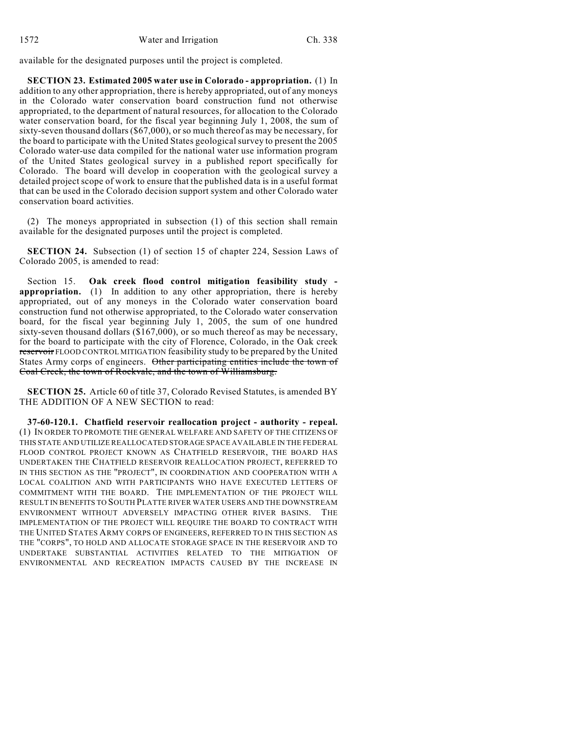available for the designated purposes until the project is completed.

**SECTION 23. Estimated 2005 water use in Colorado - appropriation.** (1) In addition to any other appropriation, there is hereby appropriated, out of any moneys in the Colorado water conservation board construction fund not otherwise appropriated, to the department of natural resources, for allocation to the Colorado water conservation board, for the fiscal year beginning July 1, 2008, the sum of sixty-seven thousand dollars (\$67,000), or so much thereof as may be necessary, for the board to participate with the United States geological survey to present the 2005 Colorado water-use data compiled for the national water use information program of the United States geological survey in a published report specifically for Colorado. The board will develop in cooperation with the geological survey a detailed project scope of work to ensure that the published data is in a useful format that can be used in the Colorado decision support system and other Colorado water conservation board activities.

(2) The moneys appropriated in subsection (1) of this section shall remain available for the designated purposes until the project is completed.

**SECTION 24.** Subsection (1) of section 15 of chapter 224, Session Laws of Colorado 2005, is amended to read:

Section 15. **Oak creek flood control mitigation feasibility study appropriation.** (1) In addition to any other appropriation, there is hereby appropriated, out of any moneys in the Colorado water conservation board construction fund not otherwise appropriated, to the Colorado water conservation board, for the fiscal year beginning July 1, 2005, the sum of one hundred sixty-seven thousand dollars (\$167,000), or so much thereof as may be necessary, for the board to participate with the city of Florence, Colorado, in the Oak creek reservoir FLOOD CONTROL MITIGATION feasibility study to be prepared by the United States Army corps of engineers. Other participating entities include the town of Coal Creek, the town of Rockvale, and the town of Williamsburg.

**SECTION 25.** Article 60 of title 37, Colorado Revised Statutes, is amended BY THE ADDITION OF A NEW SECTION to read:

**37-60-120.1. Chatfield reservoir reallocation project - authority - repeal.** (1) IN ORDER TO PROMOTE THE GENERAL WELFARE AND SAFETY OF THE CITIZENS OF THIS STATE AND UTILIZE REALLOCATED STORAGE SPACE AVAILABLE IN THE FEDERAL FLOOD CONTROL PROJECT KNOWN AS CHATFIELD RESERVOIR, THE BOARD HAS UNDERTAKEN THE CHATFIELD RESERVOIR REALLOCATION PROJECT, REFERRED TO IN THIS SECTION AS THE "PROJECT", IN COORDINATION AND COOPERATION WITH A LOCAL COALITION AND WITH PARTICIPANTS WHO HAVE EXECUTED LETTERS OF COMMITMENT WITH THE BOARD. THE IMPLEMENTATION OF THE PROJECT WILL RESULT IN BENEFITS TO SOUTH PLATTE RIVER WATER USERS AND THE DOWNSTREAM ENVIRONMENT WITHOUT ADVERSELY IMPACTING OTHER RIVER BASINS. THE IMPLEMENTATION OF THE PROJECT WILL REQUIRE THE BOARD TO CONTRACT WITH THE UNITED STATES ARMY CORPS OF ENGINEERS, REFERRED TO IN THIS SECTION AS THE "CORPS", TO HOLD AND ALLOCATE STORAGE SPACE IN THE RESERVOIR AND TO UNDERTAKE SUBSTANTIAL ACTIVITIES RELATED TO THE MITIGATION OF ENVIRONMENTAL AND RECREATION IMPACTS CAUSED BY THE INCREASE IN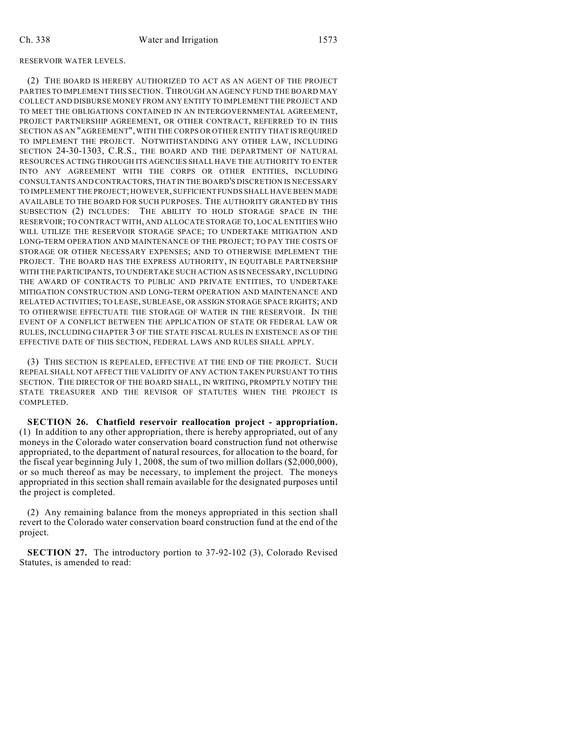## RESERVOIR WATER LEVELS.

(2) THE BOARD IS HEREBY AUTHORIZED TO ACT AS AN AGENT OF THE PROJECT PARTIES TO IMPLEMENT THIS SECTION. THROUGH AN AGENCY FUND THE BOARD MAY COLLECT AND DISBURSE MONEY FROM ANY ENTITY TO IMPLEMENT THE PROJECT AND TO MEET THE OBLIGATIONS CONTAINED IN AN INTERGOVERNMENTAL AGREEMENT, PROJECT PARTNERSHIP AGREEMENT, OR OTHER CONTRACT, REFERRED TO IN THIS SECTION AS AN "AGREEMENT", WITH THE CORPS OR OTHER ENTITY THAT IS REQUIRED TO IMPLEMENT THE PROJECT. NOTWITHSTANDING ANY OTHER LAW, INCLUDING SECTION 24-30-1303, C.R.S., THE BOARD AND THE DEPARTMENT OF NATURAL RESOURCES ACTING THROUGH ITS AGENCIES SHALL HAVE THE AUTHORITY TO ENTER INTO ANY AGREEMENT WITH THE CORPS OR OTHER ENTITIES, INCLUDING CONSULTANTS AND CONTRACTORS, THAT IN THE BOARD'S DISCRETION IS NECESSARY TO IMPLEMENT THE PROJECT; HOWEVER, SUFFICIENT FUNDS SHALL HAVE BEEN MADE AVAILABLE TO THE BOARD FOR SUCH PURPOSES. THE AUTHORITY GRANTED BY THIS SUBSECTION (2) INCLUDES: THE ABILITY TO HOLD STORAGE SPACE IN THE RESERVOIR; TO CONTRACT WITH, AND ALLOCATE STORAGE TO, LOCAL ENTITIES WHO WILL UTILIZE THE RESERVOIR STORAGE SPACE; TO UNDERTAKE MITIGATION AND LONG-TERM OPERATION AND MAINTENANCE OF THE PROJECT; TO PAY THE COSTS OF STORAGE OR OTHER NECESSARY EXPENSES; AND TO OTHERWISE IMPLEMENT THE PROJECT. THE BOARD HAS THE EXPRESS AUTHORITY, IN EQUITABLE PARTNERSHIP WITH THE PARTICIPANTS, TO UNDERTAKE SUCH ACTION AS IS NECESSARY, INCLUDING THE AWARD OF CONTRACTS TO PUBLIC AND PRIVATE ENTITIES, TO UNDERTAKE MITIGATION CONSTRUCTION AND LONG-TERM OPERATION AND MAINTENANCE AND RELATED ACTIVITIES; TO LEASE, SUBLEASE, OR ASSIGN STORAGE SPACE RIGHTS; AND TO OTHERWISE EFFECTUATE THE STORAGE OF WATER IN THE RESERVOIR. IN THE EVENT OF A CONFLICT BETWEEN THE APPLICATION OF STATE OR FEDERAL LAW OR RULES, INCLUDING CHAPTER 3 OF THE STATE FISCAL RULES IN EXISTENCE AS OF THE EFFECTIVE DATE OF THIS SECTION, FEDERAL LAWS AND RULES SHALL APPLY.

(3) THIS SECTION IS REPEALED, EFFECTIVE AT THE END OF THE PROJECT. SUCH REPEAL SHALL NOT AFFECT THE VALIDITY OF ANY ACTION TAKEN PURSUANT TO THIS SECTION. THE DIRECTOR OF THE BOARD SHALL, IN WRITING, PROMPTLY NOTIFY THE STATE TREASURER AND THE REVISOR OF STATUTES WHEN THE PROJECT IS COMPLETED.

**SECTION 26. Chatfield reservoir reallocation project - appropriation.** (1) In addition to any other appropriation, there is hereby appropriated, out of any moneys in the Colorado water conservation board construction fund not otherwise appropriated, to the department of natural resources, for allocation to the board, for the fiscal year beginning July 1, 2008, the sum of two million dollars (\$2,000,000), or so much thereof as may be necessary, to implement the project. The moneys appropriated in this section shall remain available for the designated purposes until the project is completed.

(2) Any remaining balance from the moneys appropriated in this section shall revert to the Colorado water conservation board construction fund at the end of the project.

**SECTION 27.** The introductory portion to 37-92-102 (3), Colorado Revised Statutes, is amended to read: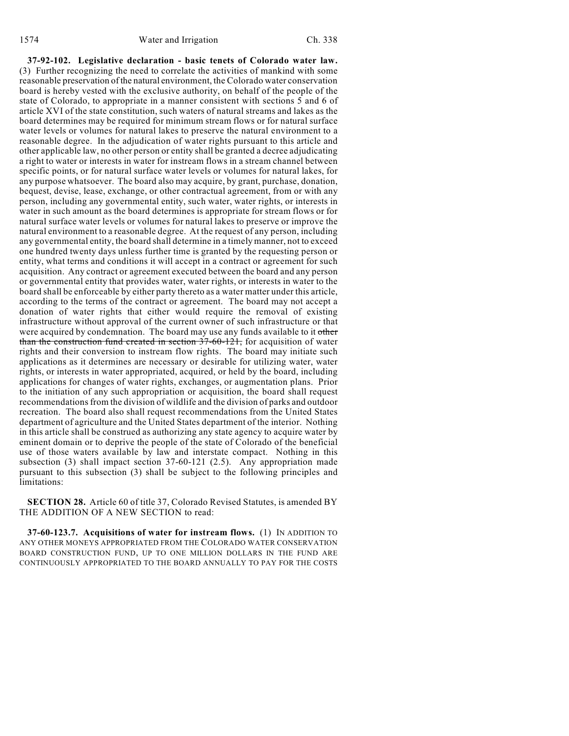**37-92-102. Legislative declaration - basic tenets of Colorado water law.** (3) Further recognizing the need to correlate the activities of mankind with some reasonable preservation of the natural environment, the Colorado water conservation board is hereby vested with the exclusive authority, on behalf of the people of the state of Colorado, to appropriate in a manner consistent with sections 5 and 6 of article XVI of the state constitution, such waters of natural streams and lakes as the board determines may be required for minimum stream flows or for natural surface water levels or volumes for natural lakes to preserve the natural environment to a reasonable degree. In the adjudication of water rights pursuant to this article and other applicable law, no other person or entity shall be granted a decree adjudicating a right to water or interests in water for instream flows in a stream channel between specific points, or for natural surface water levels or volumes for natural lakes, for any purpose whatsoever. The board also may acquire, by grant, purchase, donation, bequest, devise, lease, exchange, or other contractual agreement, from or with any person, including any governmental entity, such water, water rights, or interests in water in such amount as the board determines is appropriate for stream flows or for natural surface water levels or volumes for natural lakes to preserve or improve the natural environment to a reasonable degree. At the request of any person, including any governmental entity, the board shall determine in a timely manner, not to exceed one hundred twenty days unless further time is granted by the requesting person or entity, what terms and conditions it will accept in a contract or agreement for such acquisition. Any contract or agreement executed between the board and any person or governmental entity that provides water, water rights, or interests in water to the board shall be enforceable by either party thereto as a water matter under this article, according to the terms of the contract or agreement. The board may not accept a donation of water rights that either would require the removal of existing infrastructure without approval of the current owner of such infrastructure or that were acquired by condemnation. The board may use any funds available to it other than the construction fund created in section 37-60-121, for acquisition of water rights and their conversion to instream flow rights. The board may initiate such applications as it determines are necessary or desirable for utilizing water, water rights, or interests in water appropriated, acquired, or held by the board, including applications for changes of water rights, exchanges, or augmentation plans. Prior to the initiation of any such appropriation or acquisition, the board shall request recommendations from the division of wildlife and the division of parks and outdoor recreation. The board also shall request recommendations from the United States department of agriculture and the United States department of the interior. Nothing in this article shall be construed as authorizing any state agency to acquire water by eminent domain or to deprive the people of the state of Colorado of the beneficial use of those waters available by law and interstate compact. Nothing in this subsection (3) shall impact section 37-60-121 (2.5). Any appropriation made pursuant to this subsection (3) shall be subject to the following principles and limitations:

**SECTION 28.** Article 60 of title 37, Colorado Revised Statutes, is amended BY THE ADDITION OF A NEW SECTION to read:

**37-60-123.7. Acquisitions of water for instream flows.** (1) IN ADDITION TO ANY OTHER MONEYS APPROPRIATED FROM THE COLORADO WATER CONSERVATION BOARD CONSTRUCTION FUND, UP TO ONE MILLION DOLLARS IN THE FUND ARE CONTINUOUSLY APPROPRIATED TO THE BOARD ANNUALLY TO PAY FOR THE COSTS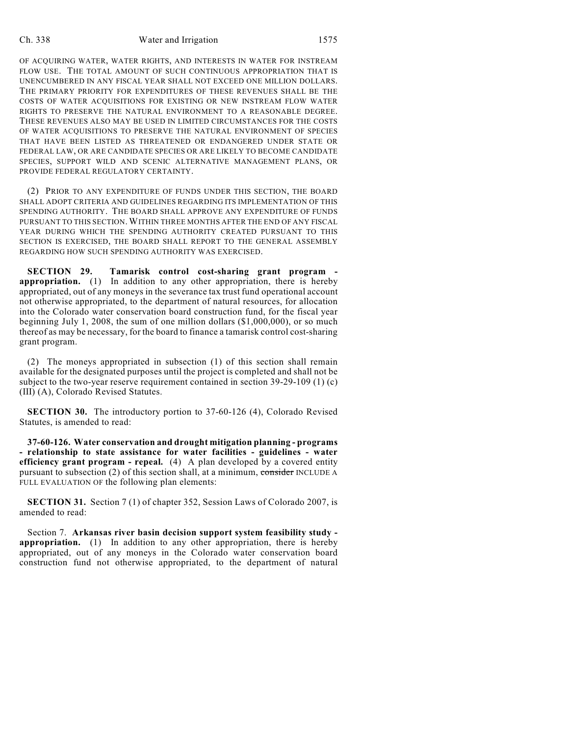## Ch. 338 Water and Irrigation 1575

OF ACQUIRING WATER, WATER RIGHTS, AND INTERESTS IN WATER FOR INSTREAM FLOW USE. THE TOTAL AMOUNT OF SUCH CONTINUOUS APPROPRIATION THAT IS UNENCUMBERED IN ANY FISCAL YEAR SHALL NOT EXCEED ONE MILLION DOLLARS. THE PRIMARY PRIORITY FOR EXPENDITURES OF THESE REVENUES SHALL BE THE COSTS OF WATER ACQUISITIONS FOR EXISTING OR NEW INSTREAM FLOW WATER RIGHTS TO PRESERVE THE NATURAL ENVIRONMENT TO A REASONABLE DEGREE. THESE REVENUES ALSO MAY BE USED IN LIMITED CIRCUMSTANCES FOR THE COSTS OF WATER ACQUISITIONS TO PRESERVE THE NATURAL ENVIRONMENT OF SPECIES THAT HAVE BEEN LISTED AS THREATENED OR ENDANGERED UNDER STATE OR FEDERAL LAW, OR ARE CANDIDATE SPECIES OR ARE LIKELY TO BECOME CANDIDATE SPECIES, SUPPORT WILD AND SCENIC ALTERNATIVE MANAGEMENT PLANS, OR PROVIDE FEDERAL REGULATORY CERTAINTY.

(2) PRIOR TO ANY EXPENDITURE OF FUNDS UNDER THIS SECTION, THE BOARD SHALL ADOPT CRITERIA AND GUIDELINES REGARDING ITS IMPLEMENTATION OF THIS SPENDING AUTHORITY. THE BOARD SHALL APPROVE ANY EXPENDITURE OF FUNDS PURSUANT TO THIS SECTION. WITHIN THREE MONTHS AFTER THE END OF ANY FISCAL YEAR DURING WHICH THE SPENDING AUTHORITY CREATED PURSUANT TO THIS SECTION IS EXERCISED, THE BOARD SHALL REPORT TO THE GENERAL ASSEMBLY REGARDING HOW SUCH SPENDING AUTHORITY WAS EXERCISED.

**SECTION 29. Tamarisk control cost-sharing grant program appropriation.** (1) In addition to any other appropriation, there is hereby appropriated, out of any moneys in the severance tax trust fund operational account not otherwise appropriated, to the department of natural resources, for allocation into the Colorado water conservation board construction fund, for the fiscal year beginning July 1, 2008, the sum of one million dollars (\$1,000,000), or so much thereof as may be necessary, for the board to finance a tamarisk control cost-sharing grant program.

(2) The moneys appropriated in subsection (1) of this section shall remain available for the designated purposes until the project is completed and shall not be subject to the two-year reserve requirement contained in section 39-29-109 (1) (c) (III) (A), Colorado Revised Statutes.

**SECTION 30.** The introductory portion to 37-60-126 (4), Colorado Revised Statutes, is amended to read:

**37-60-126. Water conservation and drought mitigation planning - programs - relationship to state assistance for water facilities - guidelines - water efficiency grant program - repeal.** (4) A plan developed by a covered entity pursuant to subsection (2) of this section shall, at a minimum, consider INCLUDE A FULL EVALUATION OF the following plan elements:

**SECTION 31.** Section 7 (1) of chapter 352, Session Laws of Colorado 2007, is amended to read:

Section 7. **Arkansas river basin decision support system feasibility study appropriation.** (1) In addition to any other appropriation, there is hereby appropriated, out of any moneys in the Colorado water conservation board construction fund not otherwise appropriated, to the department of natural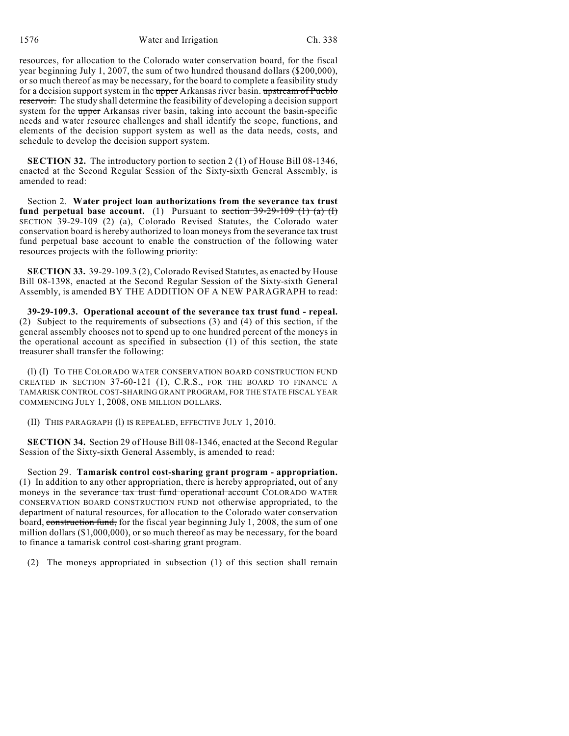1576 Water and Irrigation Ch. 338

resources, for allocation to the Colorado water conservation board, for the fiscal year beginning July 1, 2007, the sum of two hundred thousand dollars (\$200,000), or so much thereof as may be necessary, for the board to complete a feasibility study for a decision support system in the upper Arkansas river basin. upstream of Pueblo reservoir. The study shall determine the feasibility of developing a decision support system for the upper Arkansas river basin, taking into account the basin-specific needs and water resource challenges and shall identify the scope, functions, and elements of the decision support system as well as the data needs, costs, and schedule to develop the decision support system.

**SECTION 32.** The introductory portion to section 2 (1) of House Bill 08-1346, enacted at the Second Regular Session of the Sixty-sixth General Assembly, is amended to read:

Section 2. **Water project loan authorizations from the severance tax trust fund perpetual base account.** (1) Pursuant to section  $39-29-109$  (1) (a) (I) SECTION 39-29-109 (2) (a), Colorado Revised Statutes, the Colorado water conservation board is hereby authorized to loan moneys from the severance tax trust fund perpetual base account to enable the construction of the following water resources projects with the following priority:

**SECTION 33.** 39-29-109.3 (2), Colorado Revised Statutes, as enacted by House Bill 08-1398, enacted at the Second Regular Session of the Sixty-sixth General Assembly, is amended BY THE ADDITION OF A NEW PARAGRAPH to read:

**39-29-109.3. Operational account of the severance tax trust fund - repeal.** (2) Subject to the requirements of subsections (3) and (4) of this section, if the general assembly chooses not to spend up to one hundred percent of the moneys in the operational account as specified in subsection (1) of this section, the state treasurer shall transfer the following:

(l) (I) TO THE COLORADO WATER CONSERVATION BOARD CONSTRUCTION FUND CREATED IN SECTION 37-60-121 (1), C.R.S., FOR THE BOARD TO FINANCE A TAMARISK CONTROL COST-SHARING GRANT PROGRAM, FOR THE STATE FISCAL YEAR COMMENCING JULY 1, 2008, ONE MILLION DOLLARS.

(II) THIS PARAGRAPH (l) IS REPEALED, EFFECTIVE JULY 1, 2010.

**SECTION 34.** Section 29 of House Bill 08-1346, enacted at the Second Regular Session of the Sixty-sixth General Assembly, is amended to read:

Section 29. **Tamarisk control cost-sharing grant program - appropriation.** (1) In addition to any other appropriation, there is hereby appropriated, out of any moneys in the severance tax trust fund operational account COLORADO WATER CONSERVATION BOARD CONSTRUCTION FUND not otherwise appropriated, to the department of natural resources, for allocation to the Colorado water conservation board, construction fund, for the fiscal year beginning July 1, 2008, the sum of one million dollars (\$1,000,000), or so much thereof as may be necessary, for the board to finance a tamarisk control cost-sharing grant program.

(2) The moneys appropriated in subsection (1) of this section shall remain